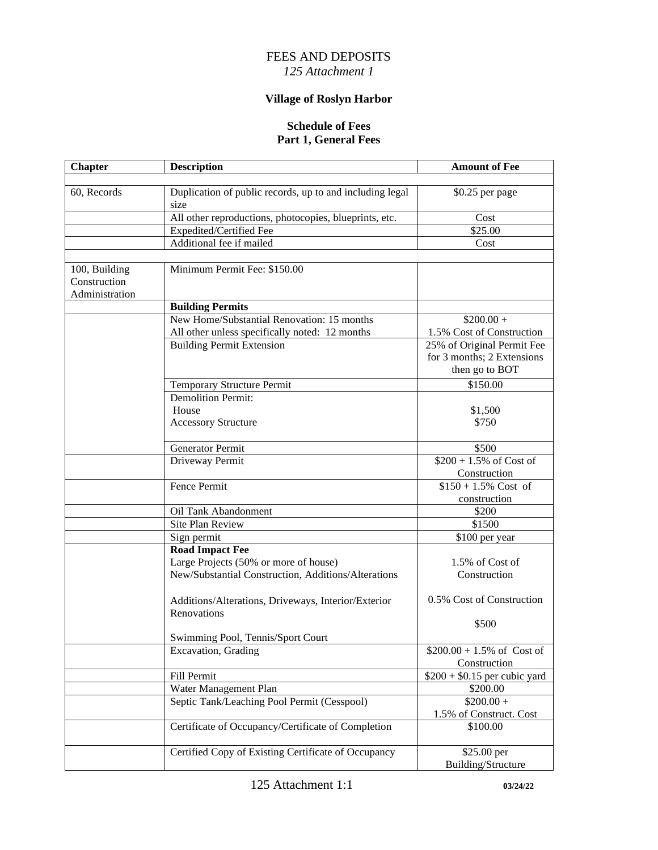## FEES AND DEPOSITS *125 Attachment 1*

## **Village of Roslyn Harbor**

#### **Schedule of Fees Part 1, General Fees**

| <b>Chapter</b> | <b>Description</b>                                               | <b>Amount of Fee</b>                 |
|----------------|------------------------------------------------------------------|--------------------------------------|
|                |                                                                  |                                      |
| 60, Records    | Duplication of public records, up to and including legal<br>size | \$0.25 per page                      |
|                | All other reproductions, photocopies, blueprints, etc.           | Cost                                 |
|                | Expedited/Certified Fee                                          | \$25.00                              |
|                | Additional fee if mailed                                         | Cost                                 |
|                |                                                                  |                                      |
| 100, Building  | Minimum Permit Fee: \$150.00                                     |                                      |
| Construction   |                                                                  |                                      |
| Administration |                                                                  |                                      |
|                | <b>Building Permits</b>                                          |                                      |
|                | New Home/Substantial Renovation: 15 months                       | $$200.00 +$                          |
|                | All other unless specifically noted: 12 months                   | 1.5% Cost of Construction            |
|                | <b>Building Permit Extension</b>                                 | 25% of Original Permit Fee           |
|                |                                                                  | for 3 months; 2 Extensions           |
|                |                                                                  | then go to BOT                       |
|                | <b>Temporary Structure Permit</b>                                | \$150.00                             |
|                | <b>Demolition Permit:</b>                                        |                                      |
|                | House                                                            | \$1,500                              |
|                | <b>Accessory Structure</b>                                       | \$750                                |
|                |                                                                  |                                      |
|                | Generator Permit                                                 | \$500                                |
|                | Driveway Permit                                                  | $$200 + 1.5\% \text{ of Cost of}$    |
|                |                                                                  | Construction                         |
|                | Fence Permit                                                     | $$150 + 1.5\%$ Cost of               |
|                |                                                                  | construction                         |
|                | Oil Tank Abandonment                                             | \$200                                |
|                | Site Plan Review                                                 | \$1500                               |
|                | Sign permit                                                      | \$100 per year                       |
|                | <b>Road Impact Fee</b>                                           |                                      |
|                | Large Projects (50% or more of house)                            | 1.5% of Cost of                      |
|                | New/Substantial Construction, Additions/Alterations              | Construction                         |
|                |                                                                  |                                      |
|                | Additions/Alterations, Driveways, Interior/Exterior              | 0.5% Cost of Construction            |
|                | Renovations                                                      |                                      |
|                |                                                                  | \$500                                |
|                | Swimming Pool. Tennis/Sport Court                                |                                      |
|                | <b>Excavation</b> , Grading                                      | $$200.00 + 1.5\% \text{ of Cost of}$ |
|                |                                                                  | Construction                         |
|                | Fill Permit                                                      | $$200 + $0.15$ per cubic yard        |
|                | Water Management Plan                                            | \$200.00                             |
|                | Septic Tank/Leaching Pool Permit (Cesspool)                      | $$200.00 +$                          |
|                |                                                                  | 1.5% of Construct. Cost              |
|                | Certificate of Occupancy/Certificate of Completion               | \$100.00                             |
|                | Certified Copy of Existing Certificate of Occupancy              | \$25.00 per                          |
|                |                                                                  | Building/Structure                   |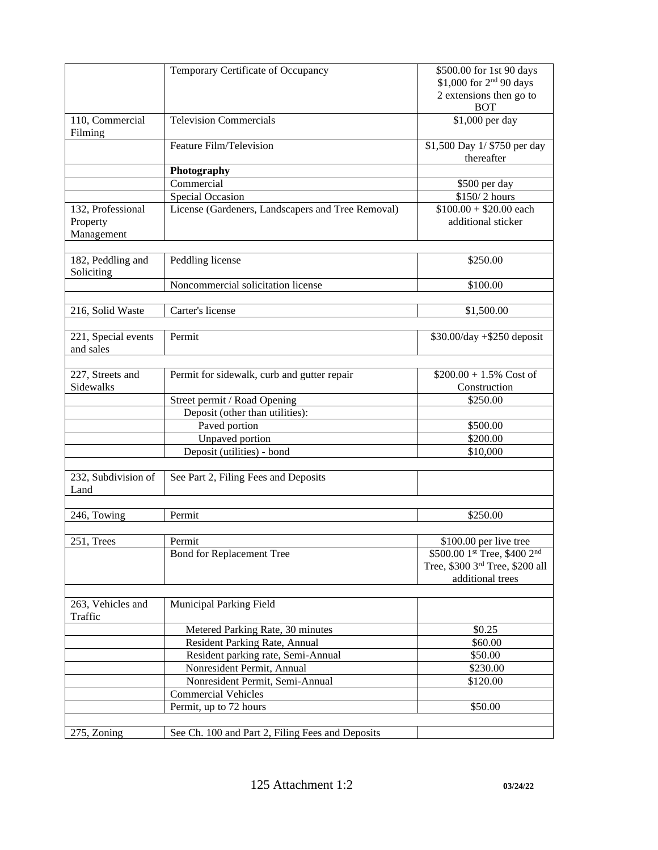|                                             | Temporary Certificate of Occupancy                | \$500.00 for 1st 90 days<br>\$1,000 for 2 <sup>nd</sup> 90 days<br>2 extensions then go to<br><b>BOT</b> |
|---------------------------------------------|---------------------------------------------------|----------------------------------------------------------------------------------------------------------|
| 110, Commercial<br>Filming                  | <b>Television Commercials</b>                     | \$1,000 per day                                                                                          |
|                                             | Feature Film/Television                           | \$1,500 Day 1/ \$750 per day<br>thereafter                                                               |
|                                             | Photography                                       |                                                                                                          |
|                                             | Commercial                                        | \$500 per day                                                                                            |
|                                             | Special Occasion                                  | \$150/2 hours                                                                                            |
| 132, Professional<br>Property<br>Management | License (Gardeners, Landscapers and Tree Removal) | $$100.00 + $20.00$ each<br>additional sticker                                                            |
| 182, Peddling and<br>Soliciting             | Peddling license                                  | \$250.00                                                                                                 |
|                                             | Noncommercial solicitation license                | \$100.00                                                                                                 |
|                                             |                                                   |                                                                                                          |
| 216, Solid Waste                            | Carter's license                                  | \$1,500.00                                                                                               |
|                                             |                                                   |                                                                                                          |
| 221, Special events<br>and sales            | Permit                                            | $$30.00/day + $250$ deposit                                                                              |
| 227, Streets and<br>Sidewalks               | Permit for sidewalk, curb and gutter repair       | $$200.00 + 1.5\%$ Cost of<br>Construction                                                                |
|                                             | Street permit / Road Opening                      | \$250.00                                                                                                 |
|                                             | Deposit (other than utilities):                   |                                                                                                          |
|                                             | Paved portion                                     | \$500.00                                                                                                 |
|                                             | Unpaved portion                                   | \$200.00                                                                                                 |
|                                             | Deposit (utilities) - bond                        | \$10,000                                                                                                 |
| 232, Subdivision of<br>Land                 | See Part 2, Filing Fees and Deposits              |                                                                                                          |
|                                             |                                                   |                                                                                                          |
| 246, Towing                                 | Permit                                            | \$250.00                                                                                                 |
| 251, Trees                                  | Permit                                            | \$100.00 per live tree                                                                                   |
|                                             | <b>Bond for Replacement Tree</b>                  | \$500.00 1st Tree, \$400 2nd<br>Tree, \$300 3rd Tree, \$200 all<br>additional trees                      |
| 263, Vehicles and<br>Traffic                | Municipal Parking Field                           |                                                                                                          |
|                                             | Metered Parking Rate, 30 minutes                  | \$0.25                                                                                                   |
|                                             | Resident Parking Rate, Annual                     | \$60.00                                                                                                  |
|                                             | Resident parking rate, Semi-Annual                | \$50.00                                                                                                  |
|                                             | Nonresident Permit, Annual                        | \$230.00                                                                                                 |
|                                             | Nonresident Permit, Semi-Annual                   | \$120.00                                                                                                 |
|                                             | <b>Commercial Vehicles</b>                        |                                                                                                          |
|                                             | Permit, up to 72 hours                            | \$50.00                                                                                                  |
| 275, Zoning                                 | See Ch. 100 and Part 2, Filing Fees and Deposits  |                                                                                                          |